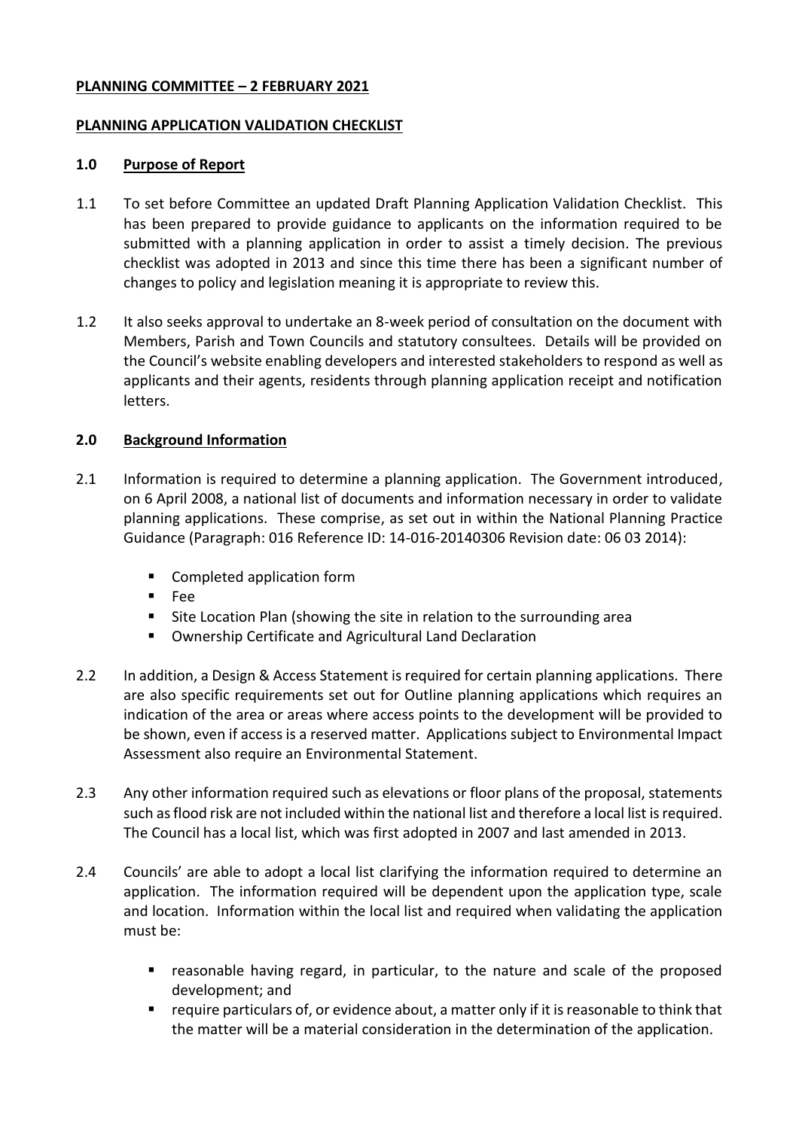#### **PLANNING COMMITTEE – 2 FEBRUARY 2021**

#### **PLANNING APPLICATION VALIDATION CHECKLIST**

#### **1.0 Purpose of Report**

- 1.1 To set before Committee an updated Draft Planning Application Validation Checklist. This has been prepared to provide guidance to applicants on the information required to be submitted with a planning application in order to assist a timely decision. The previous checklist was adopted in 2013 and since this time there has been a significant number of changes to policy and legislation meaning it is appropriate to review this.
- 1.2 It also seeks approval to undertake an 8-week period of consultation on the document with Members, Parish and Town Councils and statutory consultees. Details will be provided on the Council's website enabling developers and interested stakeholders to respond as well as applicants and their agents, residents through planning application receipt and notification letters.

# **2.0 Background Information**

- 2.1 Information is required to determine a planning application. The Government introduced, on 6 April 2008, a national list of documents and information necessary in order to validate planning applications. These comprise, as set out in within the National Planning Practice Guidance (Paragraph: 016 Reference ID: 14-016-20140306 Revision date: 06 03 2014):
	- Completed application form
	- $F^{\alpha}$
	- Site Location Plan (showing the site in relation to the surrounding area
	- Ownership Certificate and Agricultural Land Declaration
- 2.2 In addition, a Design & Access Statement is required for certain planning applications. There are also specific requirements set out for Outline planning applications which requires an indication of the area or areas where access points to the development will be provided to be shown, even if access is a reserved matter. Applications subject to Environmental Impact Assessment also require an Environmental Statement.
- 2.3 Any other information required such as elevations or floor plans of the proposal, statements such as flood risk are not included within the national list and therefore a local list is required. The Council has a local list, which was first adopted in 2007 and last amended in 2013.
- 2.4 Councils' are able to adopt a local list clarifying the information required to determine an application. The information required will be dependent upon the application type, scale and location. Information within the local list and required when validating the application must be:
	- reasonable having regard, in particular, to the nature and scale of the proposed development; and
	- require particulars of, or evidence about, a matter only if it is reasonable to think that the matter will be a material consideration in the determination of the application.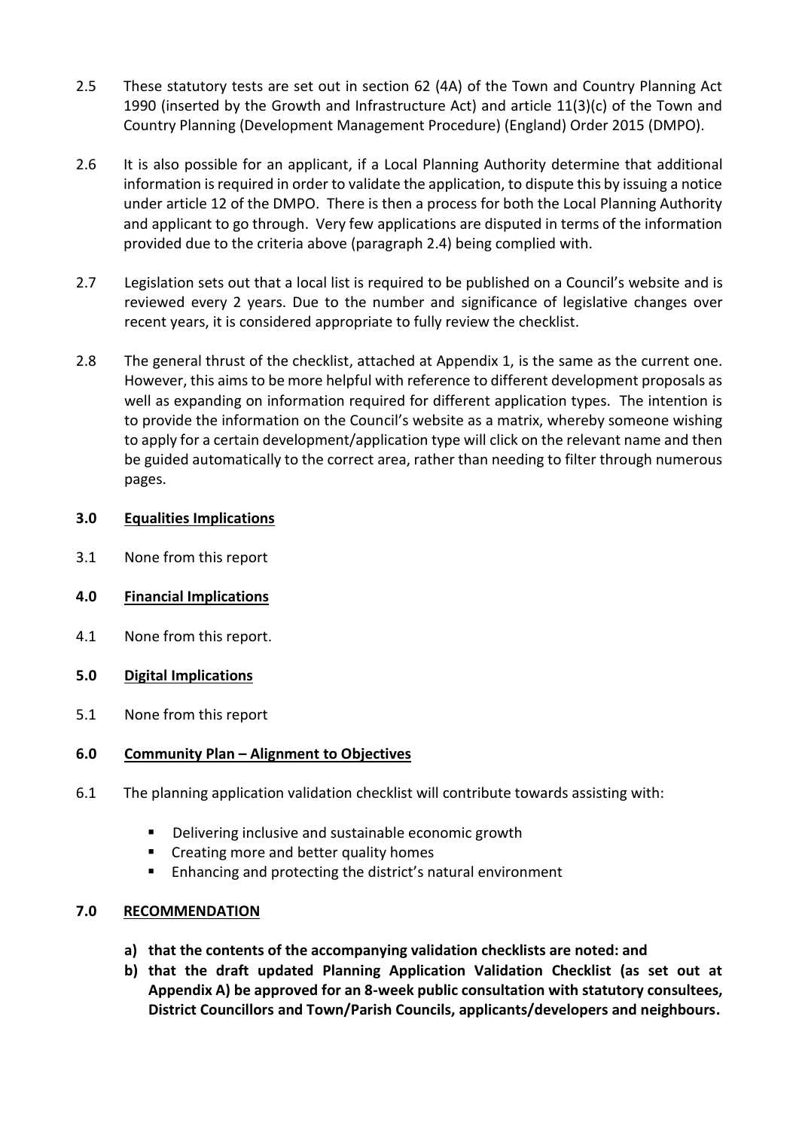- 2.5 These statutory tests are set out in section 62 (4A) of the Town and Country Planning Act 1990 (inserted by the Growth and Infrastructure Act) and article 11(3)(c) of the Town and Country Planning (Development Management Procedure) (England) Order 2015 (DMPO).
- 2.6 It is also possible for an applicant, if a Local Planning Authority determine that additional information is required in order to validate the application, to dispute this by issuing a notice under article 12 of the DMPO. There is then a process for both the Local Planning Authority and applicant to go through. Very few applications are disputed in terms of the information provided due to the criteria above (paragraph 2.4) being complied with.
- 2.7 Legislation sets out that a local list is required to be published on a Council's website and is reviewed every 2 years. Due to the number and significance of legislative changes over recent years, it is considered appropriate to fully review the checklist.
- 2.8 The general thrust of the checklist, attached at Appendix 1, is the same as the current one. However, this aims to be more helpful with reference to different development proposals as well as expanding on information required for different application types. The intention is to provide the information on the Council's website as a matrix, whereby someone wishing to apply for a certain development/application type will click on the relevant name and then be guided automatically to the correct area, rather than needing to filter through numerous pages.

# **3.0 Equalities Implications**

3.1 None from this report

# **4.0 Financial Implications**

4.1 None from this report.

# **5.0 Digital Implications**

5.1 None from this report

# **6.0 Community Plan – Alignment to Objectives**

- 6.1 The planning application validation checklist will contribute towards assisting with:
	- Delivering inclusive and sustainable economic growth
	- **EXECT** Creating more and better quality homes
	- Enhancing and protecting the district's natural environment

#### **7.0 RECOMMENDATION**

- **a) that the contents of the accompanying validation checklists are noted: and**
- **b) that the draft updated Planning Application Validation Checklist (as set out at Appendix A) be approved for an 8-week public consultation with statutory consultees, District Councillors and Town/Parish Councils, applicants/developers and neighbours.**